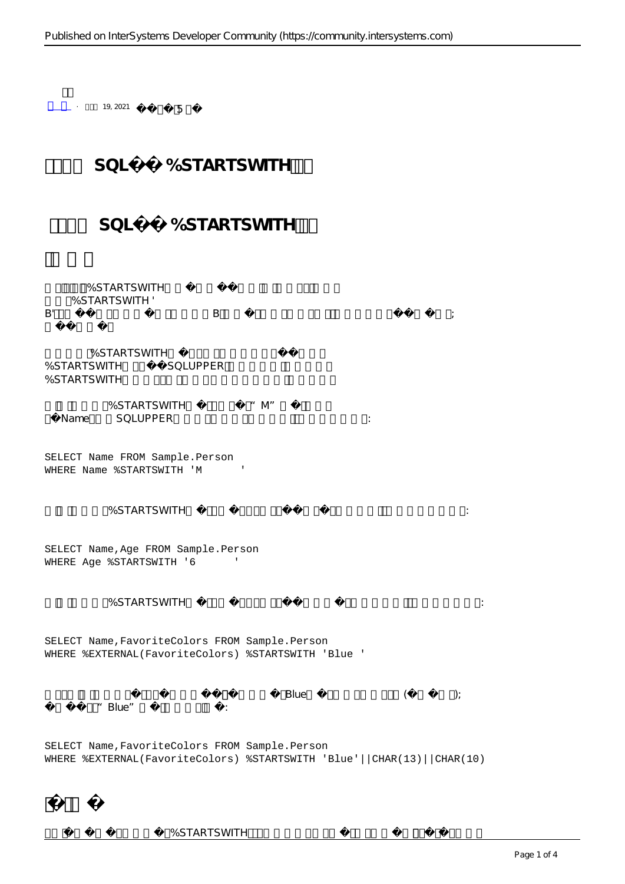$+$  19, 2021  $\frac{1}{5}$ 

SOL %STARTSWITH

## SOL %STARTSWITH

%STARTSWITH 例如,%STARTSWITH ' B'可用于选择只有一个前导空白后跟字母B的字段值。然而,只包含空白的子字符串不能选择前导空白;

%STARTSWITH %STARTSWITH
SOLUPPER %STARTSWITH

%STARTSWITH<sub>%</sub> Name<br>
SQLUPPER

SELECT Name FROM Sample.Person WHERE Name %STARTSWITH 'M

## $%STARTSWITH$

SELECT Name,Age FROM Sample.Person WHERE Age %STARTSWITH '6

在下面的示例中,%STARTSWITH从结果集中删除所有行,因为对于列表值,子字符串中的末尾空不会被忽略:

SELECT Name,FavoriteColors FROM Sample.Person WHERE %EXTERNAL(FavoriteColors) %STARTSWITH 'Blue '

 $\blacksquare$  . Hence,  $\blacksquare$  ,  $\blacksquare$  ,  $\blacksquare$  ,  $\blacksquare$  ,  $\blacksquare$  ,  $\blacksquare$  ,  $\blacksquare$  ,  $\blacksquare$  ,  $\blacksquare$  ,  $\blacksquare$  ,  $\blacksquare$  ,  $\blacksquare$  ,  $\blacksquare$  ,  $\blacksquare$  ,  $\blacksquare$  ,  $\blacksquare$  ,  $\blacksquare$  ,  $\blacksquare$  ,  $\blacksquare$  ,  $\blacksquare$  ,  $\blacksquare$  ,  $\blacksquare$  ,  $\blacksquare$   $B\cup e''$  ;

SELECT Name,FavoriteColors FROM Sample.Person WHERE %EXTERNAL(FavoriteColors) %STARTSWITH 'Blue'||CHAR(13)||CHAR(10)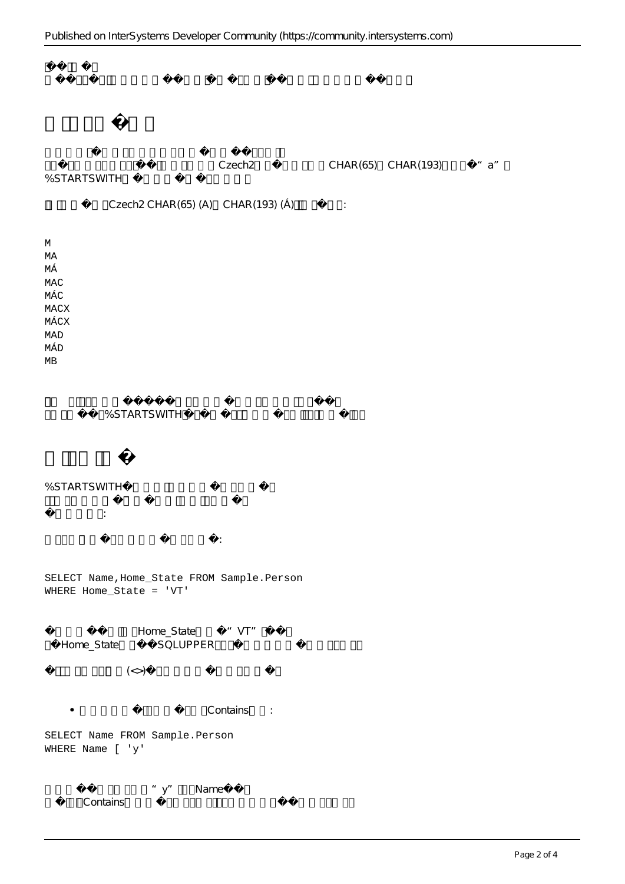Czech2 CHAR(65) CHAR(193) "a" %STARTSWITH  $Czech2 CHAR(65) (A) CHAR(193) (A)$ : M MA MÁ MAC MÁC MACX MÁCX MAD MÁD

**%STARTSWITH** 

MB

%STARTSWITH

 $\mathbb{R}^2$ 使用等号操作符对整个字符串进行等价比较:

SELECT Name,Home\_State FROM Sample.Person WHERE Home\_State = 'VT'

Home\_State "VT" Home\_State SQLUPPER

 $\left\langle \langle \rangle \right\rangle$ 

Contains :  $\bullet$ 

SELECT Name FROM Sample.Person WHERE Name [ 'y'

> "y" Name Contains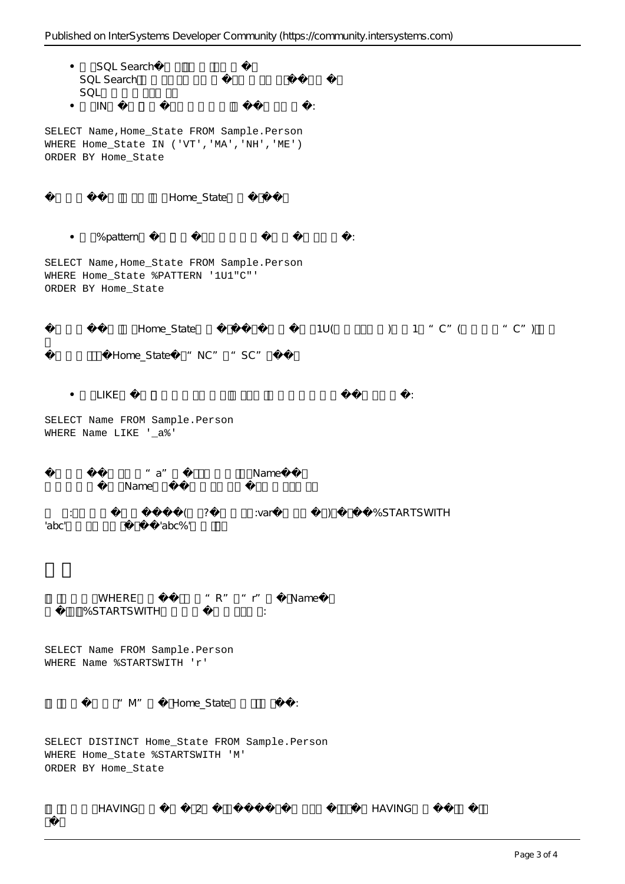• SQL Search SQL Search SQL  $\bullet$  $\mathbb{I}\mathbb{N}$  is a set of the set of the set of the set of the set of the set of the set of the set of the set of the set of the set of the set of the set of the set of the set of the set of the set of the set of the set SELECT Name,Home\_State FROM Sample.Person WHERE Home State IN ('VT','MA','NH','ME') ORDER BY Home\_State Home\_State • %pattern SELECT Name,Home\_State FROM Sample.Person WHERE Home State %PATTERN '1U1"C"' ORDER BY Home\_State Home State the Home State the Home State the TU(1999) of the "C"(1999) of the "C") Home\_State "NC" "SC"  $\bullet$  LIKE SELECT Name FROM Sample.Person WHERE Name LIKE '\_a%' "a" Mame Name ( ? :var ) %STARTSWITH 'abc' 'abc%' WHERE The "R" "r" Name %STARTSWITH SELECT Name FROM Sample.Person WHERE Name %STARTSWITH 'r' "M" Home State :

SELECT DISTINCT Home\_State FROM Sample.Person WHERE Home\_State %STARTSWITH 'M' ORDER BY Home\_State

下面的方式,但HAVING HAVING